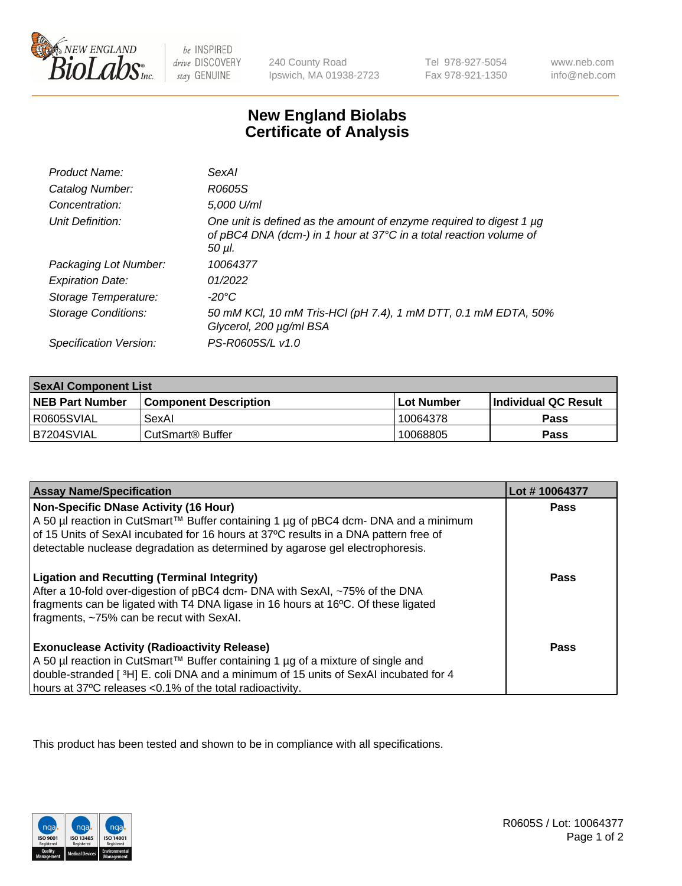

be INSPIRED drive DISCOVERY stay GENUINE

240 County Road Ipswich, MA 01938-2723

Tel 978-927-5054 Fax 978-921-1350

www.neb.com info@neb.com

## **New England Biolabs Certificate of Analysis**

| Product Name:           | <b>SexAl</b>                                                                                                                                            |
|-------------------------|---------------------------------------------------------------------------------------------------------------------------------------------------------|
| Catalog Number:         | R0605S                                                                                                                                                  |
| Concentration:          | 5,000 U/ml                                                                                                                                              |
| Unit Definition:        | One unit is defined as the amount of enzyme required to digest 1 µg<br>of pBC4 DNA (dcm-) in 1 hour at 37°C in a total reaction volume of<br>$50 \mu$ . |
| Packaging Lot Number:   | 10064377                                                                                                                                                |
| <b>Expiration Date:</b> | 01/2022                                                                                                                                                 |
| Storage Temperature:    | -20°C                                                                                                                                                   |
| Storage Conditions:     | 50 mM KCl, 10 mM Tris-HCl (pH 7.4), 1 mM DTT, 0.1 mM EDTA, 50%<br>Glycerol, 200 µg/ml BSA                                                               |
| Specification Version:  | PS-R0605S/L v1.0                                                                                                                                        |

| <b>SexAI Component List</b> |                              |             |                             |  |
|-----------------------------|------------------------------|-------------|-----------------------------|--|
| <b>NEB Part Number</b>      | <b>Component Description</b> | ⊺Lot Number | <b>Individual QC Result</b> |  |
| I R0605SVIAL                | SexAl                        | 10064378    | Pass                        |  |
| IB7204SVIAL                 | l CutSmart® Buffer           | 10068805    | <b>Pass</b>                 |  |

| <b>Assay Name/Specification</b>                                                                                                                                                                                                                                                                       | Lot #10064377 |
|-------------------------------------------------------------------------------------------------------------------------------------------------------------------------------------------------------------------------------------------------------------------------------------------------------|---------------|
| Non-Specific DNase Activity (16 Hour)<br>A 50 µl reaction in CutSmart™ Buffer containing 1 µg of pBC4 dcm- DNA and a minimum<br>of 15 Units of SexAI incubated for 16 hours at 37°C results in a DNA pattern free of<br>detectable nuclease degradation as determined by agarose gel electrophoresis. | <b>Pass</b>   |
| <b>Ligation and Recutting (Terminal Integrity)</b><br>After a 10-fold over-digestion of pBC4 dcm- DNA with SexAI, ~75% of the DNA<br>fragments can be ligated with T4 DNA ligase in 16 hours at 16°C. Of these ligated<br>fragments, ~75% can be recut with SexAI.                                    | Pass          |
| <b>Exonuclease Activity (Radioactivity Release)</b><br>A 50 µl reaction in CutSmart™ Buffer containing 1 µg of a mixture of single and<br>double-stranded [3H] E. coli DNA and a minimum of 15 units of SexAI incubated for 4<br>hours at 37°C releases <0.1% of the total radioactivity.             | Pass          |

This product has been tested and shown to be in compliance with all specifications.